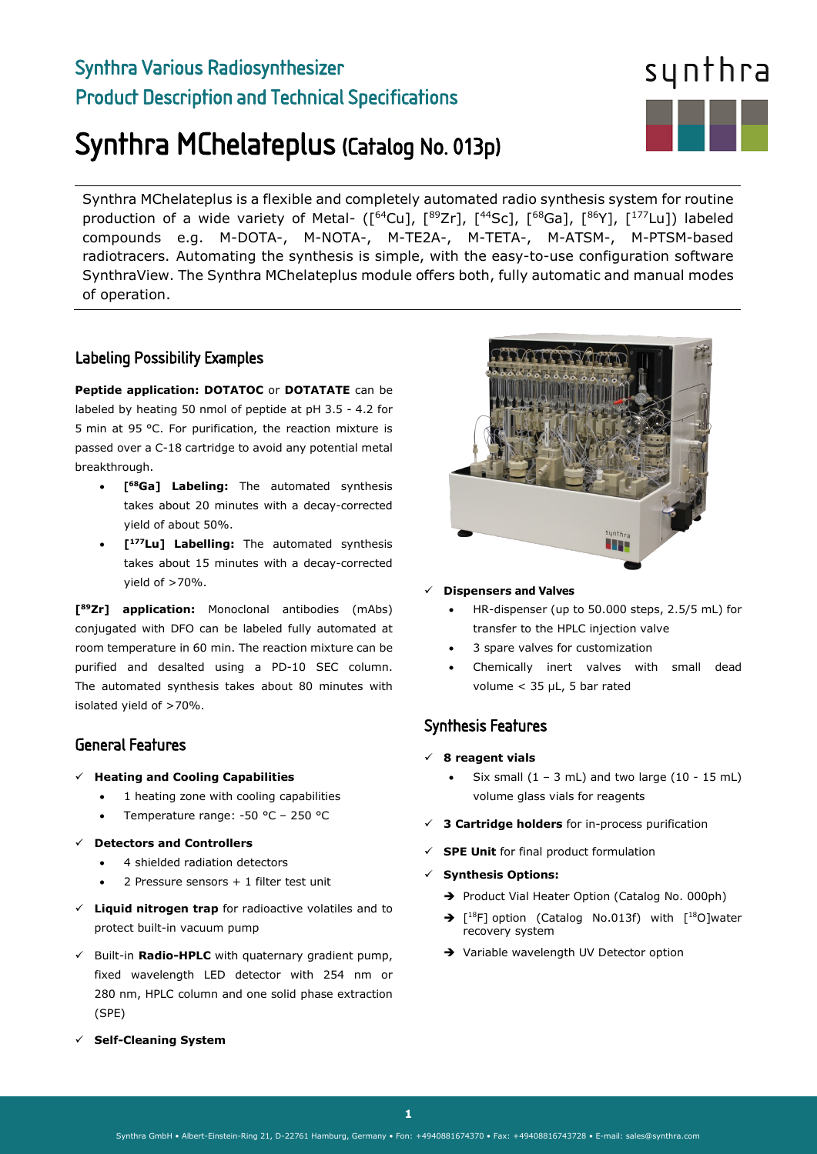## Synthra Various Radiosynthesizer Product Description and Technical Specifications

# Synthra MChelateplus (Catalog No. 013p)

Synthra MChelateplus is a flexible and completely automated radio synthesis system for routine production of a wide variety of Metal- ([<sup>64</sup>Cu], [<sup>89</sup>Zr], [<sup>44</sup>Sc], [<sup>68</sup>Ga], [<sup>86</sup>Y], [<sup>177</sup>Lu]) labeled compounds e.g. M-DOTA-, M-NOTA-, M-TE2A-, M-TETA-, M-ATSM-, M-PTSM-based radiotracers. Automating the synthesis is simple, with the easy-to-use configuration software SynthraView. The Synthra MChelateplus module offers both, fully automatic and manual modes of operation.

### Labeling Possibility Examples

**Peptide application: DOTATOC** or **DOTATATE** can be labeled by heating 50 nmol of peptide at pH 3.5 - 4.2 for 5 min at 95 °C. For purification, the reaction mixture is passed over a C-18 cartridge to avoid any potential metal breakthrough.

- **[68Ga] Labeling:** The automated synthesis takes about 20 minutes with a decay-corrected yield of about 50%.
- **[177Lu] Labelling:** The automated synthesis takes about 15 minutes with a decay-corrected yield of >70%.

**[89Zr] application:** Monoclonal antibodies (mAbs) conjugated with DFO can be labeled fully automated at room temperature in 60 min. The reaction mixture can be purified and desalted using a PD-10 SEC column. The automated synthesis takes about 80 minutes with isolated yield of >70%.

## General Features

- **Heating and Cooling Capabilities**
	- 1 heating zone with cooling capabilities
	- Temperature range: -50 °C 250 °C
- **Detectors and Controllers**
	- 4 shielded radiation detectors
	- 2 Pressure sensors + 1 filter test unit
- **Liquid nitrogen trap** for radioactive volatiles and to protect built-in vacuum pump
- $\checkmark$  Built-in **Radio-HPLC** with quaternary gradient pump, fixed wavelength LED detector with 254 nm or 280 nm, HPLC column and one solid phase extraction (SPE)

m

#### **Dispensers and Valves**

- HR-dispenser (up to 50.000 steps, 2.5/5 mL) for transfer to the HPLC injection valve
- 3 spare valves for customization
- Chemically inert valves with small dead volume < 35 µL, 5 bar rated

## Synthesis Features

- **8 reagent vials** 
	- Six small  $(1 3$  mL) and two large  $(10 15$  mL) volume glass vials for reagents
- **3 Cartridge holders** for in-process purification
- **SPE Unit** for final product formulation
- **Synthesis Options:** 
	- Product Vial Heater Option (Catalog No. 000ph)
	- $\rightarrow$  [<sup>18</sup>F] option (Catalog No.013f) with [<sup>18</sup>O]water recovery system
	- → Variable wavelength UV Detector option

**Self-Cleaning System**

 $\overline{a}$